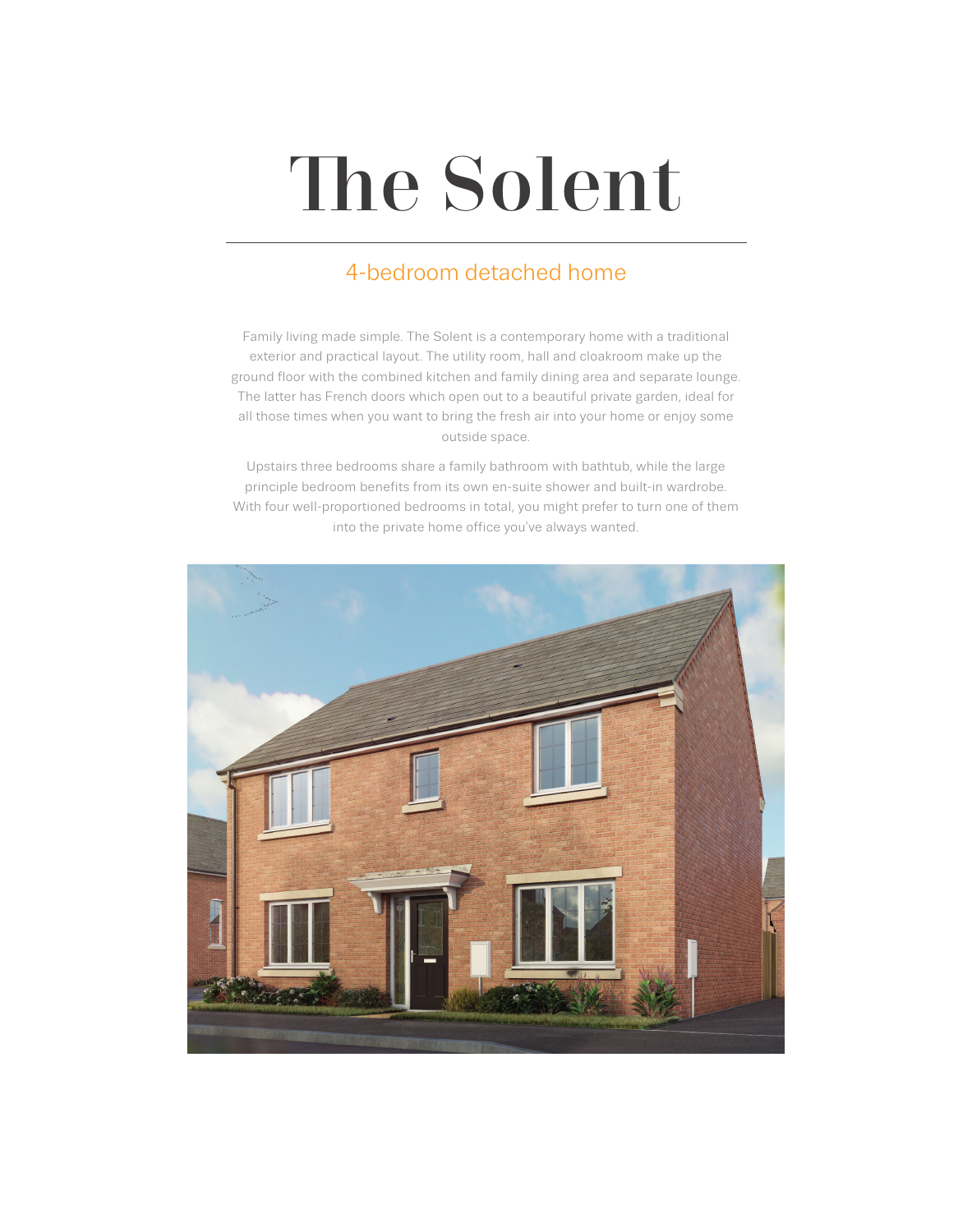# The Solent

## 4-bedroom detached home

Family living made simple. The Solent is a contemporary home with a traditional exterior and practical layout. The utility room, hall and cloakroom make up the ground floor with the combined kitchen and family dining area and separate lounge. The latter has French doors which open out to a beautiful private garden, ideal for all those times when you want to bring the fresh air into your home or enjoy some outside space.

Upstairs three bedrooms share a family bathroom with bathtub, while the large principle bedroom benefits from its own en-suite shower and built-in wardrobe. With four well-proportioned bedrooms in total, you might prefer to turn one of them into the private home office you've always wanted.